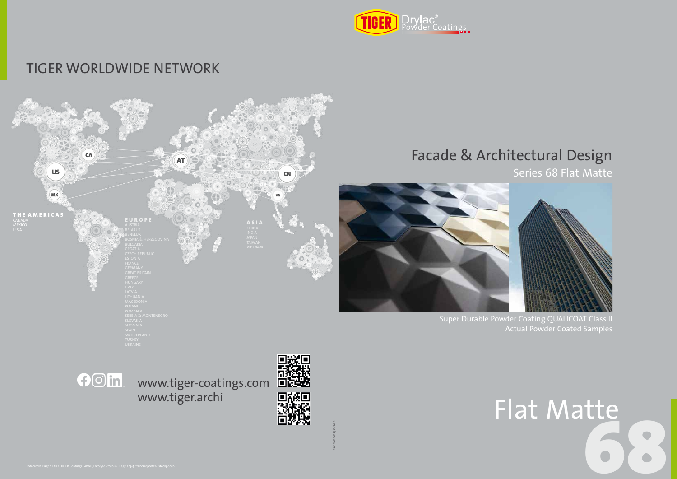

### TIGER WORLDWIDE NETWORK

## Facade & Architectural Design





Series 68 Flat Matte

Super Durable Powder Coating QUALICOAT Class II Actual Powder Coated Samples

# 68 Flat Matte

998101090087 | 10/2019

www.tiger-coatings.com www.tiger.archi